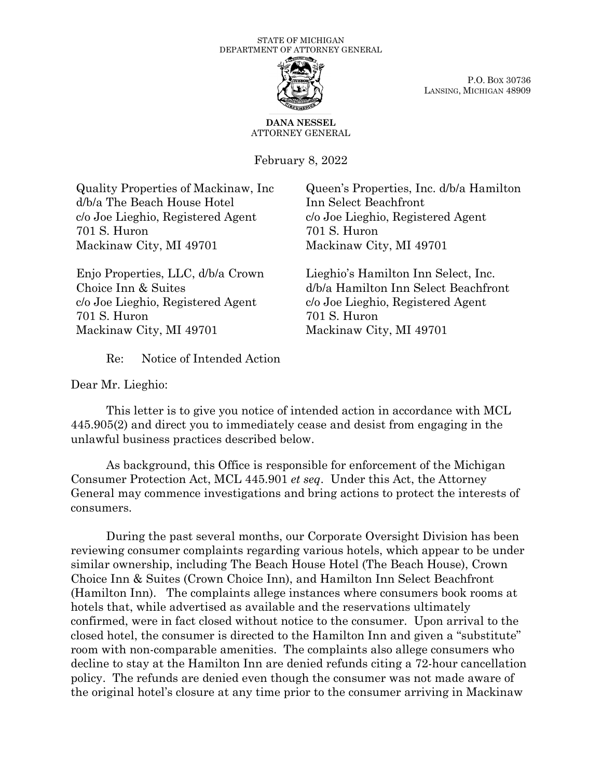

P.O. BOX 30736 LANSING, MICHIGAN 48909

**DANA NESSEL** ATTORNEY GENERAL

February 8, 2022

Quality Properties of Mackinaw, Inc d/b/a The Beach House Hotel c/o Joe Lieghio, Registered Agent 701 S. Huron Mackinaw City, MI 49701

Enjo Properties, LLC, d/b/a Crown Choice Inn & Suites c/o Joe Lieghio, Registered Agent 701 S. Huron Mackinaw City, MI 49701

Queen's Properties, Inc. d/b/a Hamilton Inn Select Beachfront c/o Joe Lieghio, Registered Agent 701 S. Huron Mackinaw City, MI 49701

Lieghio's Hamilton Inn Select, Inc. d/b/a Hamilton Inn Select Beachfront c/o Joe Lieghio, Registered Agent 701 S. Huron Mackinaw City, MI 49701

Re: Notice of Intended Action

Dear Mr. Lieghio:

This letter is to give you notice of intended action in accordance with MCL 445.905(2) and direct you to immediately cease and desist from engaging in the unlawful business practices described below.

As background, this Office is responsible for enforcement of the Michigan Consumer Protection Act, MCL 445.901 *et seq*. Under this Act, the Attorney General may commence investigations and bring actions to protect the interests of consumers.

During the past several months, our Corporate Oversight Division has been reviewing consumer complaints regarding various hotels, which appear to be under similar ownership, including The Beach House Hotel (The Beach House), Crown Choice Inn & Suites (Crown Choice Inn), and Hamilton Inn Select Beachfront (Hamilton Inn). The complaints allege instances where consumers book rooms at hotels that, while advertised as available and the reservations ultimately confirmed, were in fact closed without notice to the consumer. Upon arrival to the closed hotel, the consumer is directed to the Hamilton Inn and given a "substitute" room with non-comparable amenities. The complaints also allege consumers who decline to stay at the Hamilton Inn are denied refunds citing a 72-hour cancellation policy. The refunds are denied even though the consumer was not made aware of the original hotel's closure at any time prior to the consumer arriving in Mackinaw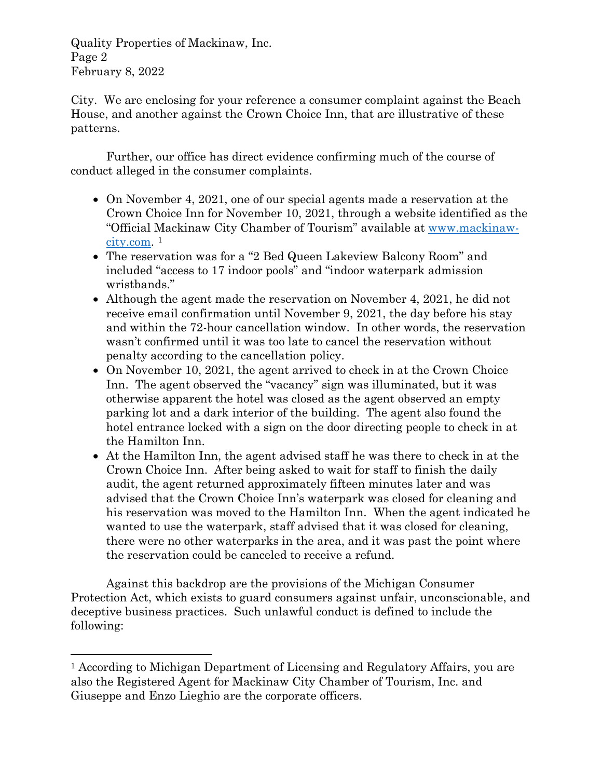Quality Properties of Mackinaw, Inc. Page 2 February 8, 2022

City. We are enclosing for your reference a consumer complaint against the Beach House, and another against the Crown Choice Inn, that are illustrative of these patterns.

Further, our office has direct evidence confirming much of the course of conduct alleged in the consumer complaints.

- On November 4, 2021, one of our special agents made a reservation at the Crown Choice Inn for November 10, 2021, through a website identified as the "Official Mackinaw City Chamber of Tourism" available at [www.mackinaw](http://www.mackinaw-city.com/)[city.com.](http://www.mackinaw-city.com/) [1](#page-1-0)
- The reservation was for a "2 Bed Queen Lakeview Balcony Room" and included "access to 17 indoor pools" and "indoor waterpark admission wristbands."
- Although the agent made the reservation on November 4, 2021, he did not receive email confirmation until November 9, 2021, the day before his stay and within the 72-hour cancellation window. In other words, the reservation wasn't confirmed until it was too late to cancel the reservation without penalty according to the cancellation policy.
- On November 10, 2021, the agent arrived to check in at the Crown Choice Inn. The agent observed the "vacancy" sign was illuminated, but it was otherwise apparent the hotel was closed as the agent observed an empty parking lot and a dark interior of the building. The agent also found the hotel entrance locked with a sign on the door directing people to check in at the Hamilton Inn.
- At the Hamilton Inn, the agent advised staff he was there to check in at the Crown Choice Inn. After being asked to wait for staff to finish the daily audit, the agent returned approximately fifteen minutes later and was advised that the Crown Choice Inn's waterpark was closed for cleaning and his reservation was moved to the Hamilton Inn. When the agent indicated he wanted to use the waterpark, staff advised that it was closed for cleaning, there were no other waterparks in the area, and it was past the point where the reservation could be canceled to receive a refund.

Against this backdrop are the provisions of the Michigan Consumer Protection Act, which exists to guard consumers against unfair, unconscionable, and deceptive business practices. Such unlawful conduct is defined to include the following:

<span id="page-1-0"></span><sup>1</sup> According to Michigan Department of Licensing and Regulatory Affairs, you are also the Registered Agent for Mackinaw City Chamber of Tourism, Inc. and Giuseppe and Enzo Lieghio are the corporate officers.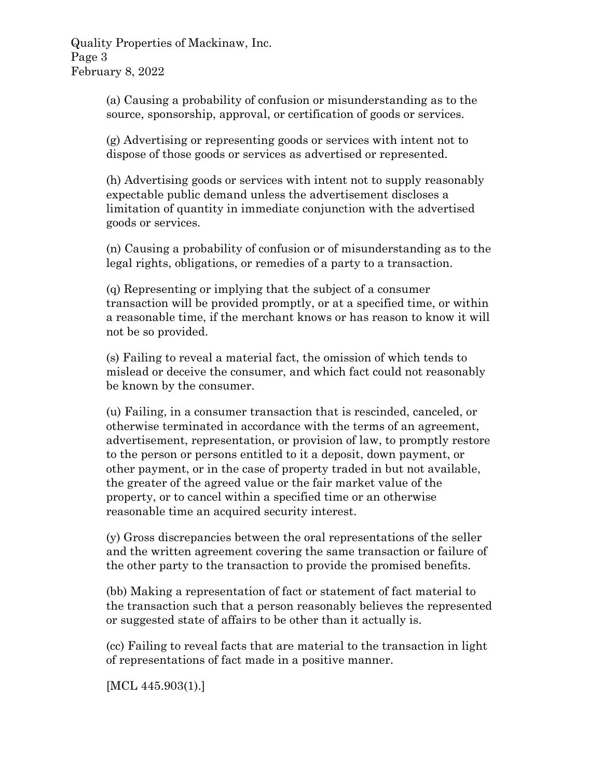Quality Properties of Mackinaw, Inc. Page 3 February 8, 2022

> (a) Causing a probability of confusion or misunderstanding as to the source, sponsorship, approval, or certification of goods or services.

(g) Advertising or representing goods or services with intent not to dispose of those goods or services as advertised or represented.

(h) Advertising goods or services with intent not to supply reasonably expectable public demand unless the advertisement discloses a limitation of quantity in immediate conjunction with the advertised goods or services.

(n) Causing a probability of confusion or of misunderstanding as to the legal rights, obligations, or remedies of a party to a transaction.

(q) Representing or implying that the subject of a consumer transaction will be provided promptly, or at a specified time, or within a reasonable time, if the merchant knows or has reason to know it will not be so provided.

(s) Failing to reveal a material fact, the omission of which tends to mislead or deceive the consumer, and which fact could not reasonably be known by the consumer.

(u) Failing, in a consumer transaction that is rescinded, canceled, or otherwise terminated in accordance with the terms of an agreement, advertisement, representation, or provision of law, to promptly restore to the person or persons entitled to it a deposit, down payment, or other payment, or in the case of property traded in but not available, the greater of the agreed value or the fair market value of the property, or to cancel within a specified time or an otherwise reasonable time an acquired security interest.

(y) Gross discrepancies between the oral representations of the seller and the written agreement covering the same transaction or failure of the other party to the transaction to provide the promised benefits.

(bb) Making a representation of fact or statement of fact material to the transaction such that a person reasonably believes the represented or suggested state of affairs to be other than it actually is.

(cc) Failing to reveal facts that are material to the transaction in light of representations of fact made in a positive manner.

[MCL 445.903(1).]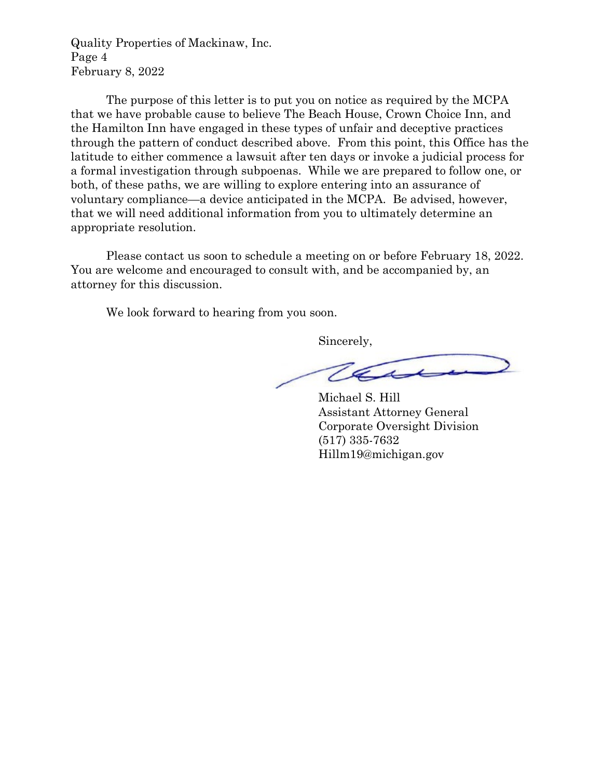Quality Properties of Mackinaw, Inc. Page 4 February 8, 2022

The purpose of this letter is to put you on notice as required by the MCPA that we have probable cause to believe The Beach House, Crown Choice Inn, and the Hamilton Inn have engaged in these types of unfair and deceptive practices through the pattern of conduct described above. From this point, this Office has the latitude to either commence a lawsuit after ten days or invoke a judicial process for a formal investigation through subpoenas. While we are prepared to follow one, or both, of these paths, we are willing to explore entering into an assurance of voluntary compliance—a device anticipated in the MCPA. Be advised, however, that we will need additional information from you to ultimately determine an appropriate resolution.

Please contact us soon to schedule a meeting on or before February 18, 2022. You are welcome and encouraged to consult with, and be accompanied by, an attorney for this discussion.

We look forward to hearing from you soon.

Sincerely,

Tass

Michael S. Hill Assistant Attorney General Corporate Oversight Division (517) 335-7632 Hillm19@michigan.gov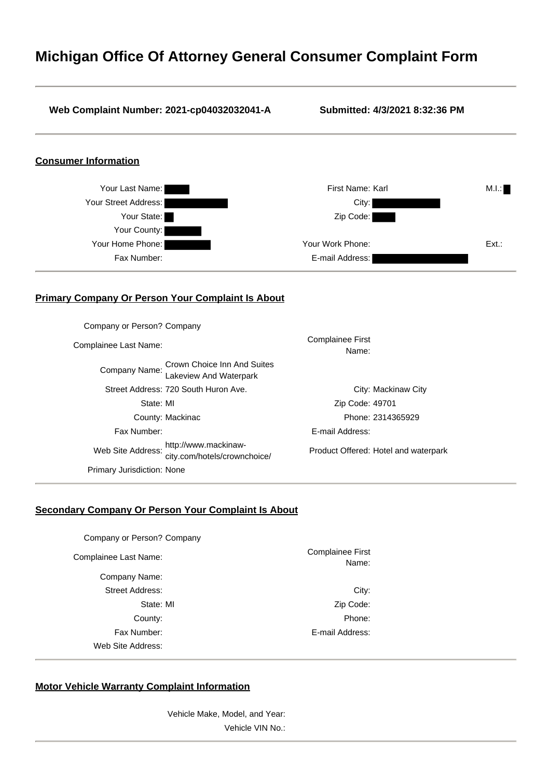## **Michigan Office Of Attorney General Consumer Complaint Form**

#### **Web Complaint Number: 2021-cp04032032041-A Submitted: 4/3/2021 8:32:36 PM**

### **Consumer Information**



### **Primary Company Or Person Your Complaint Is About**

| Company or Person? Company        |                                                                     |                                      |
|-----------------------------------|---------------------------------------------------------------------|--------------------------------------|
| Complainee Last Name:             |                                                                     | <b>Complainee First</b><br>Name:     |
|                                   | Company Name: Crown Choice Inn And Suites<br>Lakeview And Waterpark |                                      |
|                                   | Street Address: 720 South Huron Ave.                                | City: Mackinaw City                  |
| State: MI                         |                                                                     | Zip Code: 49701                      |
|                                   | County: Mackinac                                                    | Phone: 2314365929                    |
| Fax Number:                       |                                                                     | E-mail Address:                      |
| Web Site Address:                 | http://www.mackinaw-<br>city.com/hotels/crownchoice/                | Product Offered: Hotel and waterpark |
| <b>Primary Jurisdiction: None</b> |                                                                     |                                      |

### **Secondary Company Or Person Your Complaint Is About**

| Company or Person? Company |                                  |
|----------------------------|----------------------------------|
| Complainee Last Name:      | <b>Complainee First</b><br>Name: |
| Company Name:              |                                  |
| <b>Street Address:</b>     | City:                            |
| State: MI                  | Zip Code:                        |
| County:                    | Phone:                           |
| Fax Number:                | E-mail Address:                  |
| Web Site Address:          |                                  |

#### **Motor Vehicle Warranty Complaint Information**

Vehicle Make, Model, and Year: Vehicle VIN No.: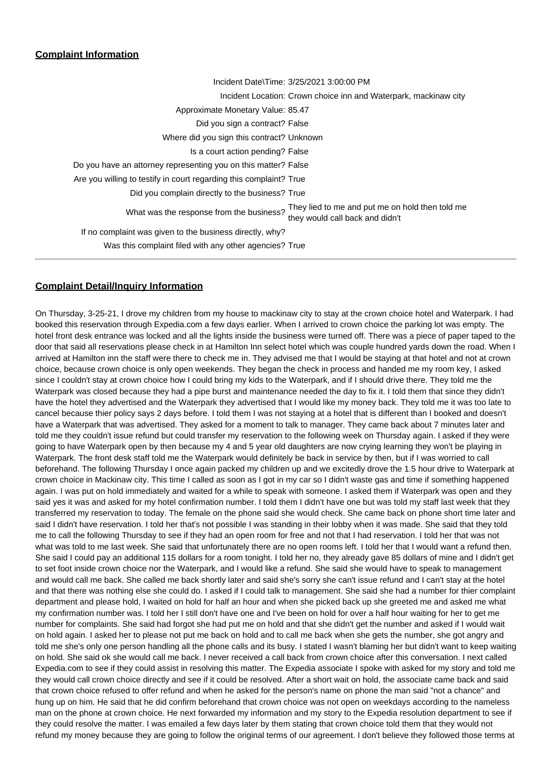### **Complaint Information**

| Incident Date\Time: 3/25/2021 3:00:00 PM                                                                                       |
|--------------------------------------------------------------------------------------------------------------------------------|
| Incident Location: Crown choice inn and Waterpark, mackinaw city                                                               |
| Approximate Monetary Value: 85.47                                                                                              |
| Did you sign a contract? False                                                                                                 |
| Where did you sign this contract? Unknown                                                                                      |
| Is a court action pending? False                                                                                               |
| Do you have an attorney representing you on this matter? False                                                                 |
| Are you willing to testify in court regarding this complaint? True                                                             |
| Did you complain directly to the business? True                                                                                |
| They lied to me and put me on hold then told me<br>What was the response from the business?<br>they would call back and didn't |
| If no complaint was given to the business directly, why?                                                                       |
| Was this complaint filed with any other agencies? True                                                                         |
|                                                                                                                                |

### **Complaint Detail/Inquiry Information**

On Thursday, 3-25-21, I drove my children from my house to mackinaw city to stay at the crown choice hotel and Waterpark. I had booked this reservation through Expedia.com a few days earlier. When I arrived to crown choice the parking lot was empty. The hotel front desk entrance was locked and all the lights inside the business were turned off. There was a piece of paper taped to the door that said all reservations please check in at Hamilton Inn select hotel which was couple hundred yards down the road. When I arrived at Hamilton inn the staff were there to check me in. They advised me that I would be staying at that hotel and not at crown choice, because crown choice is only open weekends. They began the check in process and handed me my room key, I asked since I couldn't stay at crown choice how I could bring my kids to the Waterpark, and if I should drive there. They told me the Waterpark was closed because they had a pipe burst and maintenance needed the day to fix it. I told them that since they didn't have the hotel they advertised and the Waterpark they advertised that I would like my money back. They told me it was too late to cancel because thier policy says 2 days before. I told them I was not staying at a hotel that is different than I booked and doesn't have a Waterpark that was advertised. They asked for a moment to talk to manager. They came back about 7 minutes later and told me they couldn't issue refund but could transfer my reservation to the following week on Thursday again. I asked if they were going to have Waterpark open by then because my 4 and 5 year old daughters are now crying learning they won't be playing in Waterpark. The front desk staff told me the Waterpark would definitely be back in service by then, but if I was worried to call beforehand. The following Thursday I once again packed my children up and we excitedly drove the 1.5 hour drive to Waterpark at crown choice in Mackinaw city. This time I called as soon as I got in my car so I didn't waste gas and time if something happened again. I was put on hold immediately and waited for a while to speak with someone. I asked them if Waterpark was open and they said yes it was and asked for my hotel confirmation number. I told them I didn't have one but was told my staff last week that they transferred my reservation to today. The female on the phone said she would check. She came back on phone short time later and said I didn't have reservation. I told her that's not possible I was standing in their lobby when it was made. She said that they told me to call the following Thursday to see if they had an open room for free and not that I had reservation. I told her that was not what was told to me last week. She said that unfortunately there are no open rooms left. I told her that I would want a refund then. She said I could pay an additional 115 dollars for a room tonight. I told her no, they already gave 85 dollars of mine and I didn't get to set foot inside crown choice nor the Waterpark, and I would like a refund. She said she would have to speak to management and would call me back. She called me back shortly later and said she's sorry she can't issue refund and I can't stay at the hotel and that there was nothing else she could do. I asked if I could talk to management. She said she had a number for thier complaint department and please hold, I waited on hold for half an hour and when she picked back up she greeted me and asked me what my confirmation number was. I told her I still don't have one and I've been on hold for over a half hour waiting for her to get me number for complaints. She said had forgot she had put me on hold and that she didn't get the number and asked if I would wait on hold again. I asked her to please not put me back on hold and to call me back when she gets the number, she got angry and told me she's only one person handling all the phone calls and its busy. I stated I wasn't blaming her but didn't want to keep waiting on hold. She said ok she would call me back. I never received a call back from crown choice after this conversation. I next called Expedia.com to see if they could assist in resolving this matter. The Expedia associate I spoke with asked for my story and told me they would call crown choice directly and see if it could be resolved. After a short wait on hold, the associate came back and said that crown choice refused to offer refund and when he asked for the person's name on phone the man said "not a chance" and hung up on him. He said that he did confirm beforehand that crown choice was not open on weekdays according to the nameless man on the phone at crown choice. He next forwarded my information and my story to the Expedia resolution department to see if they could resolve the matter. I was emailed a few days later by them stating that crown choice told them that they would not refund my money because they are going to follow the original terms of our agreement. I don't believe they followed those terms at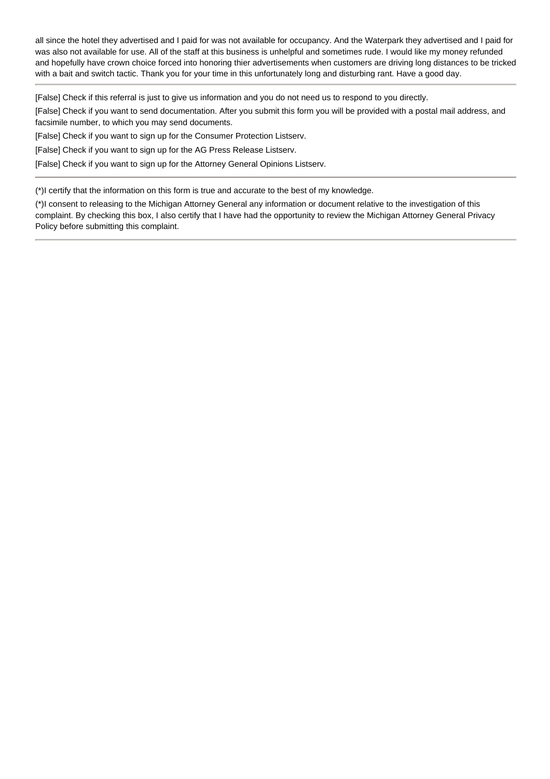all since the hotel they advertised and I paid for was not available for occupancy. And the Waterpark they advertised and I paid for was also not available for use. All of the staff at this business is unhelpful and sometimes rude. I would like my money refunded and hopefully have crown choice forced into honoring thier advertisements when customers are driving long distances to be tricked with a bait and switch tactic. Thank you for your time in this unfortunately long and disturbing rant. Have a good day.

[False] Check if this referral is just to give us information and you do not need us to respond to you directly.

[False] Check if you want to send documentation. After you submit this form you will be provided with a postal mail address, and facsimile number, to which you may send documents.

[False] Check if you want to sign up for the Consumer Protection Listserv.

[False] Check if you want to sign up for the AG Press Release Listserv.

[False] Check if you want to sign up for the Attorney General Opinions Listserv.

(\*)I certify that the information on this form is true and accurate to the best of my knowledge.

(\*)I consent to releasing to the Michigan Attorney General any information or document relative to the investigation of this complaint. By checking this box, I also certify that I have had the opportunity to review the Michigan Attorney General Privacy Policy before submitting this complaint.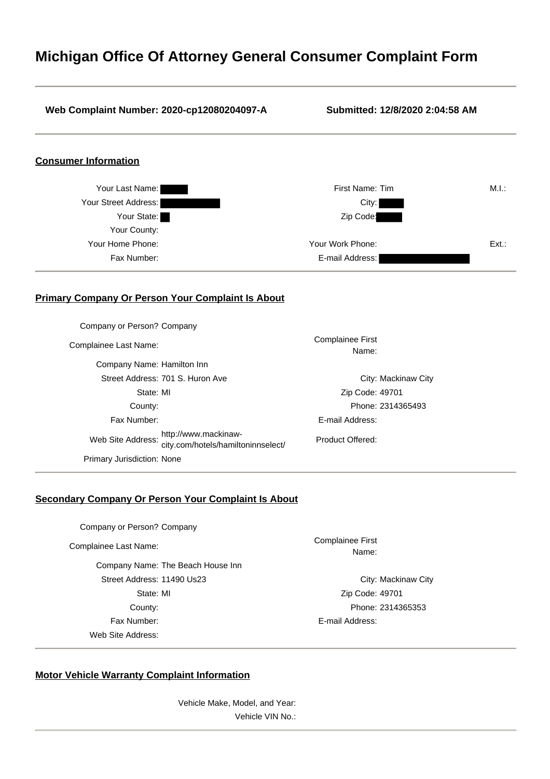## **Michigan Office Of Attorney General Consumer Complaint Form**

# **Web Complaint Number: 2020-cp12080204097-A Submitted: 12/8/2020 2:04:58 AM Consumer Information** Your Last Name: First Name: Tim M.I.: Your Street Address: City: Your State: Zip Code: Your County: Your Home Phone: Your Work Phone: Ext.: Fax Number: E-mail Address: **Primary Company Or Person Your Complaint Is About** Company or Person? Company Complainee Last Name: Complainee First Name: Company Name: Hamilton Inn Street Address: 701 S. Huron Ave City: Mackinaw City State: MI Zip Code: 49701 County: Phone: 2314365493 Fax Number: E-mail Address: Web Site Address: http://www.mackinaw-city.com/hotels/hamiltoninnselect/ Product Offered: Primary Jurisdiction: None **Secondary Company Or Person Your Complaint Is About**

Company or Person? Company

Company Name: The Beach House Inn Street Address: 11490 Us23 City: Mackinaw City State: MI Zip Code: 49701 County: Phone: 2314365353 Fax Number: E-mail Address: Web Site Address:

Complainee Last Name: Complainee First Name:

#### **Motor Vehicle Warranty Complaint Information**

Vehicle Make, Model, and Year: Vehicle VIN No.: